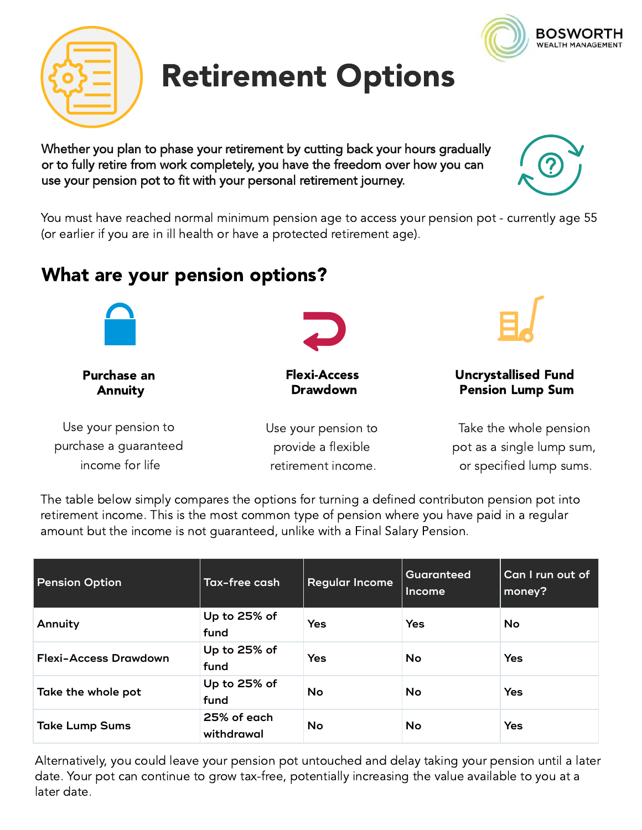

Whether you plan to phase your retirement by cutting back your hours gradually or to fully retire from work completely, you have the freedom over how you can use your pension pot to fit with your personal retirement journey.

You must have reached normal minimum pension age to access your pension pot - currently age 55 (or earlier if you are in ill health or have a protected retirement age).

# What are your pension options?

| <b>Purchase an</b>    | <b>Flexi-Access</b> | <b>Uncrystallised Fund</b> |  |
|-----------------------|---------------------|----------------------------|--|
| <b>Annuity</b>        | <b>Drawdown</b>     | <b>Pension Lump Sum</b>    |  |
| Use your pension to   | Use your pension to | Take the whole pension     |  |
| purchase a guaranteed | provide a flexible  | pot as a single lump sum,  |  |
| income for life       | retirement income.  | or specified lump sums.    |  |
|                       |                     |                            |  |

The table below simply compares the options for turning a defined contributon pension pot into retirement income. This is the most common type of pension where you have paid in a regular amount but the income is not guaranteed, unlike with a Final Salary Pension.

| <b>Pension Option</b> | Tax-free cash             | <b>Regular Income</b> | Guaranteed<br>Income | Can I run out of<br>money? |
|-----------------------|---------------------------|-----------------------|----------------------|----------------------------|
| Annuity               | Up to 25% of<br>fund      | <b>Yes</b>            | Yes                  | No                         |
| Flexi-Access Drawdown | Up to 25% of<br>fund      | <b>Yes</b>            | <b>No</b>            | Yes                        |
| Take the whole pot    | Up to 25% of<br>fund      | No                    | No                   | Yes                        |
| <b>Take Lump Sums</b> | 25% of each<br>withdrawal | No                    | No                   | Yes                        |

Alternatively, you could leave your pension pot untouched and delay taking your pension until a later date. Your pot can continue to grow tax-free, potentially increasing the value available to you at a later date.







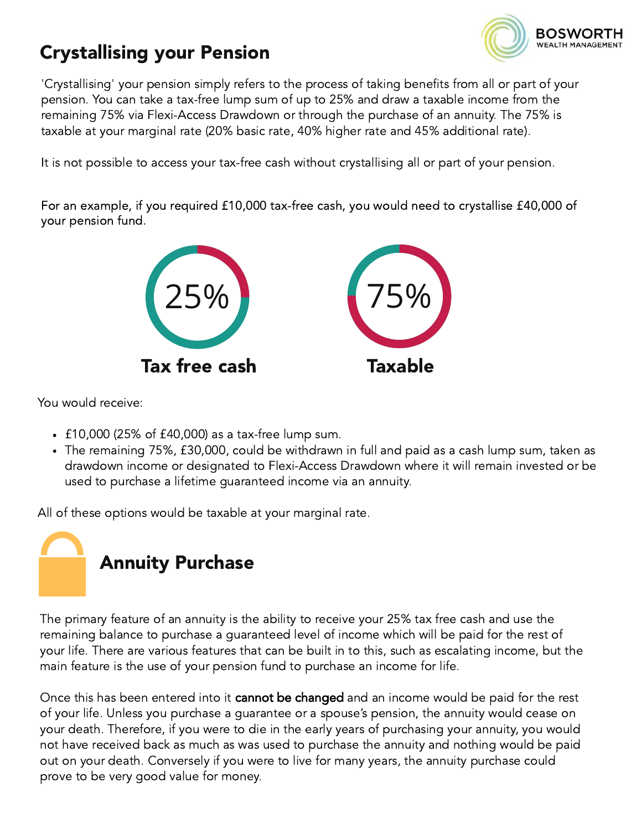

## Crystallising your Pension

'Crystallising' your pension simply refers to the process of taking benefits from all or part of your pension. You can take a tax-free lump sum of up to 25% and draw a taxable income from the remaining 75% via Flexi-Access Drawdown or through the purchase of an annuity. The 75% is taxable at your marginal rate (20% basic rate, 40% higher rate and 45% additional rate).

It is not possible to access your tax-free cash without crystallising all or part of your pension.

For an example, if you required £10,000 tax-free cash, you would need to crystallise £40,000 of your pension fund.



You would receive:

- $\cdot$  £10,000 (25% of £40,000) as a tax-free lump sum.
- The remaining 75%, £30,000, could be withdrawn in full and paid as a cash lump sum, taken as drawdown income or designated to Flexi-Access Drawdown where it will remain invested or be used to purchase a lifetime guaranteed income via an annuity.

All of these options would be taxable at your marginal rate.



The primary feature of an annuity is the ability to receive your 25% tax free cash and use the remaining balance to purchase a guaranteed level of income which will be paid for the rest of your life. There are various features that can be built in to this, such as escalating income, but the main feature is the use of your pension fund to purchase an income for life.

Once this has been entered into it **cannot be changed** and an income would be paid for the rest of your life. Unless you purchase a guarantee or a spouse's pension, the annuity would cease on your death. Therefore, if you were to die in the early years of purchasing your annuity, you would not have received back as much as was used to purchase the annuity and nothing would be paid out on your death. Conversely if you were to live for many years, the annuity purchase could prove to be very good value for money.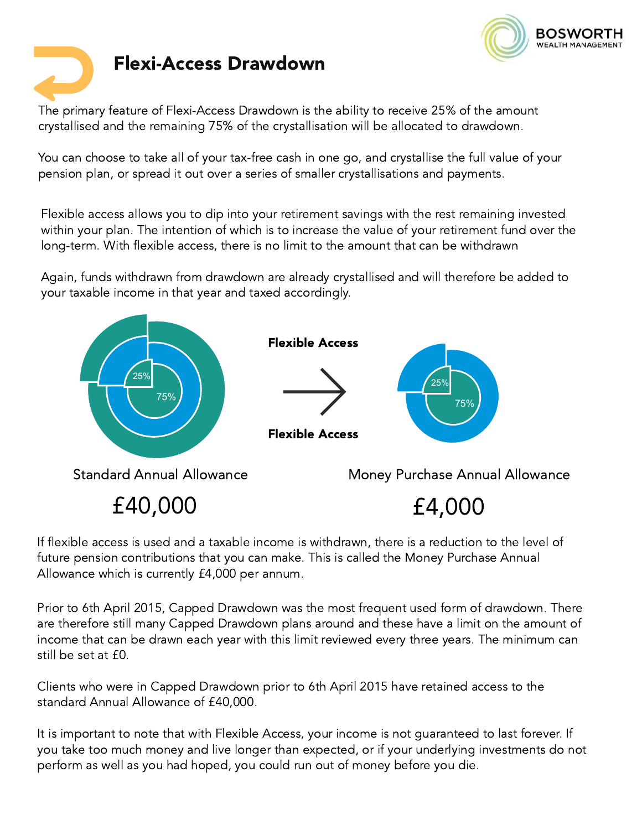



The primary feature of Flexi-Access Drawdown is the ability to receive 25% of the amount crystallised and the remaining 75% of the crystallisation will be allocated to drawdown.

You can choose to take all of your tax-free cash in one go, and crystallise the full value of your pension plan, or spread it out over a series of smaller crystallisations and payments.

Flexible access allows you to dip into your retirement savings with the rest remaining invested within your plan. The intention of which is to increase the value of your retirement fund over the long-term. With flexible access, there is no limit to the amount that can be withdrawn

Again, funds withdrawn from drawdown are already crystallised and will therefore be added to your taxable income in that year and taxed accordingly.



If flexible access is used and a taxable income is withdrawn, there is a reduction to the level of future pension contributions that you can make. This is called the Money Purchase Annual Allowance which is currently £4,000 per annum.

meome mat can<br>still be set at £0.<br>Clients who were Prior to 6th April 2015, Capped Drawdown was the most frequent used form of drawdown. There are therefore still many Capped Drawdown plans around and these have a limit on the amount of income that can be drawn each year with this limit reviewed every three years. The minimum can

Clients who were in Capped Drawdown prior to 6th April 2015 have retained access to the standard Annual Allowance of £40,000.

It is important to note that with Flexible Access, your income is not guaranteed to last forever. If you take too much money and live longer than expected, or if your underlying investments do not perform as well as you had hoped, you could run out of money before you die.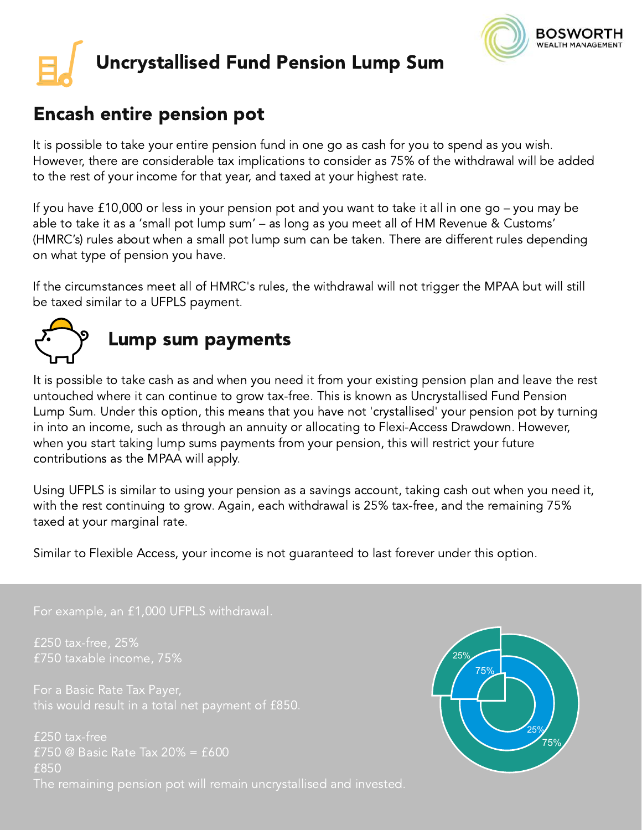

# Uncrystallised Fund Pension Lump Sum

### Encash entire pension pot

It is possible to take your entire pension fund in one go as cash for you to spend as you wish. However, there are considerable tax implications to consider as 75% of the withdrawal will be added to the rest of your income for that year, and taxed at your highest rate.

If you have £10,000 or less in your pension pot and you want to take it all in one go – you may be able to take it as a 'small pot lump sum' – as long as you meet all of HM Revenue & Customs' (HMRC's) rules about when a small pot lump sum can be taken. There are different rules depending on what type of pension you have.

If the circumstances meet all of HMRC's rules, the withdrawal will not trigger the MPAA but will still be taxed similar to a UFPLS payment.



## Lump sum payments

It is possible to take cash as and when you need it from your existing pension plan and leave the rest untouched where it can continue to grow tax-free. This is known as Uncrystallised Fund Pension Lump Sum. Under this option, this means that you have not 'crystallised' your pension pot by turning in into an income, such as through an annuity or allocating to Flexi-Access Drawdown. However, when you start taking lump sums payments from your pension, this will restrict your future contributions as the MPAA will apply.

Using UFPLS is similar to using your pension as a savings account, taking cash out when you need it, with the rest continuing to grow. Again, each withdrawal is 25% tax-free, and the remaining 75% taxed at your marginal rate.

Similar to Flexible Access, your income is not guaranteed to last forever under this option.

#### For example, an £1,000 UFPLS withdrawal.

£250 tax-free, 25% £750 taxable income, 75%

£250 tax-free £750 @ Basic Rate Tax 20% = £600 £850